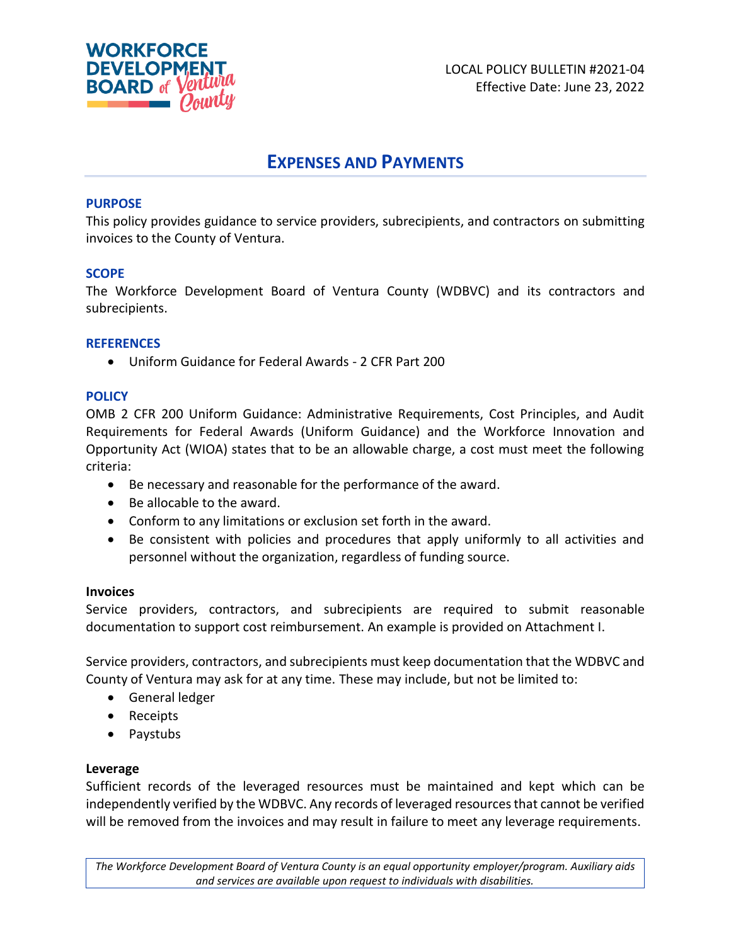

# **EXPENSES AND PAYMENTS**

# **PURPOSE**

This policy provides guidance to service providers, subrecipients, and contractors on submitting invoices to the County of Ventura.

# **SCOPE**

The Workforce Development Board of Ventura County (WDBVC) and its contractors and subrecipients.

# **REFERENCES**

• Uniform Guidance for Federal Awards - 2 CFR Part 200

# **POLICY**

OMB 2 CFR 200 Uniform Guidance: Administrative Requirements, Cost Principles, and Audit Requirements for Federal Awards (Uniform Guidance) and the Workforce Innovation and Opportunity Act (WIOA) states that to be an allowable charge, a cost must meet the following criteria:

- Be necessary and reasonable for the performance of the award.
- Be allocable to the award.
- Conform to any limitations or exclusion set forth in the award.
- Be consistent with policies and procedures that apply uniformly to all activities and personnel without the organization, regardless of funding source.

# **Invoices**

Service providers, contractors, and subrecipients are required to submit reasonable documentation to support cost reimbursement. An example is provided on Attachment I.

Service providers, contractors, and subrecipients must keep documentation that the WDBVC and County of Ventura may ask for at any time. These may include, but not be limited to:

- General ledger
- Receipts
- Paystubs

# **Leverage**

Sufficient records of the leveraged resources must be maintained and kept which can be independently verified by the WDBVC. Any records of leveraged resources that cannot be verified will be removed from the invoices and may result in failure to meet any leverage requirements.

*The Workforce Development Board of Ventura County is an equal opportunity employer/program. Auxiliary aids and services are available upon request to individuals with disabilities.*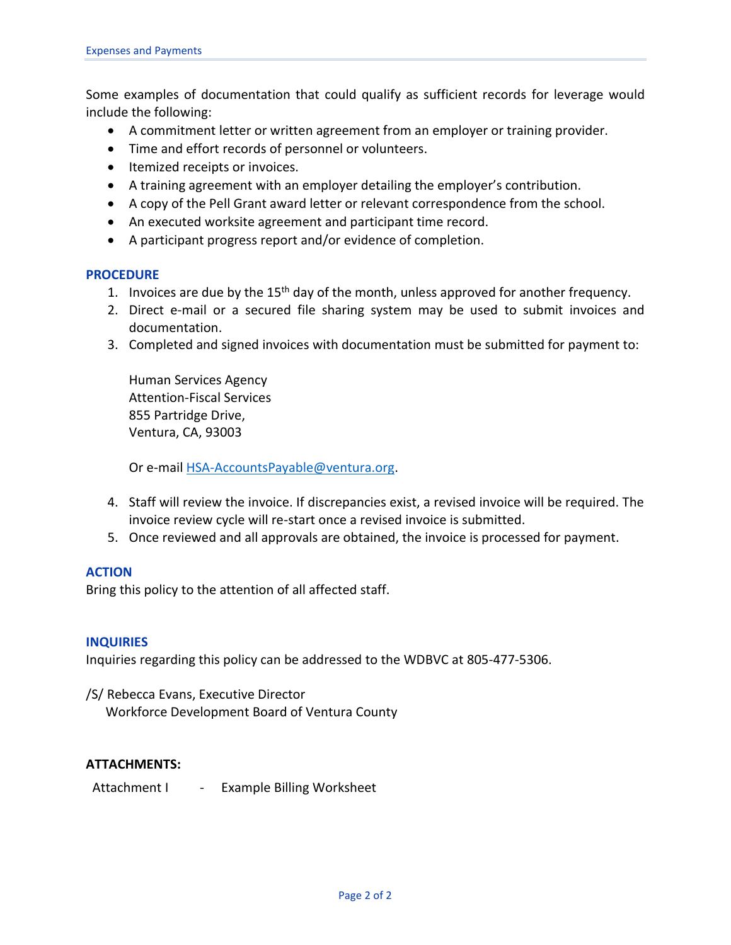Some examples of documentation that could qualify as sufficient records for leverage would include the following:

- A commitment letter or written agreement from an employer or training provider.
- Time and effort records of personnel or volunteers.
- Itemized receipts or invoices.
- A training agreement with an employer detailing the employer's contribution.
- A copy of the Pell Grant award letter or relevant correspondence from the school.
- An executed worksite agreement and participant time record.
- A participant progress report and/or evidence of completion.

#### **PROCEDURE**

- 1. Invoices are due by the 15<sup>th</sup> day of the month, unless approved for another frequency.
- 2. Direct e-mail or a secured file sharing system may be used to submit invoices and documentation.
- 3. Completed and signed invoices with documentation must be submitted for payment to:

Human Services Agency Attention-Fiscal Services 855 Partridge Drive, Ventura, CA, 93003

Or e-mail [HSA-AccountsPayable@ventura.org.](mailto:HSA-AccountsPayable@ventura.org)

- 4. Staff will review the invoice. If discrepancies exist, a revised invoice will be required. The invoice review cycle will re-start once a revised invoice is submitted.
- 5. Once reviewed and all approvals are obtained, the invoice is processed for payment.

#### **ACTION**

Bring this policy to the attention of all affected staff.

#### **INQUIRIES**

Inquiries regarding this policy can be addressed to the WDBVC at 805-477-5306.

/S/ Rebecca Evans, Executive Director Workforce Development Board of Ventura County

# **ATTACHMENTS:**

Attachment I - Example Billing Worksheet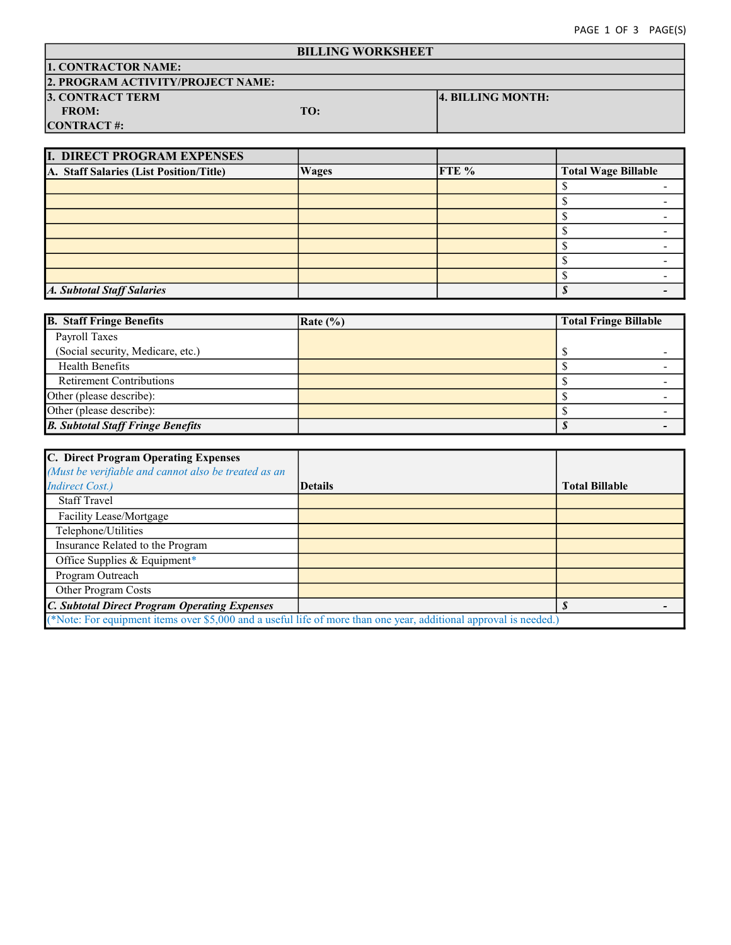| <b>BILLING WORKSHEET</b>          |     |                   |  |
|-----------------------------------|-----|-------------------|--|
| <b>1. CONTRACTOR NAME:</b>        |     |                   |  |
| 2. PROGRAM ACTIVITY/PROJECT NAME: |     |                   |  |
| <b>3. CONTRACT TERM</b>           |     | 4. BILLING MONTH: |  |
| <b>FROM:</b>                      | TO: |                   |  |
| <b>CONTRACT#:</b>                 |     |                   |  |

| <b>I. DIRECT PROGRAM EXPENSES</b>       |              |       |                            |
|-----------------------------------------|--------------|-------|----------------------------|
| A. Staff Salaries (List Position/Title) | <b>Wages</b> | FTE % | <b>Total Wage Billable</b> |
|                                         |              |       |                            |
|                                         |              |       |                            |
|                                         |              |       |                            |
|                                         |              |       |                            |
|                                         |              |       |                            |
|                                         |              |       |                            |
|                                         |              |       |                            |
| <b>A. Subtotal Staff Salaries</b>       |              |       |                            |

| <b>B.</b> Staff Fringe Benefits          | $\vert$ Rate $\langle\% \rangle$ | <b>Total Fringe Billable</b> |
|------------------------------------------|----------------------------------|------------------------------|
| Payroll Taxes                            |                                  |                              |
| (Social security, Medicare, etc.)        |                                  |                              |
| <b>Health Benefits</b>                   |                                  |                              |
| <b>Retirement Contributions</b>          |                                  |                              |
| Other (please describe):                 |                                  |                              |
| Other (please describe):                 |                                  |                              |
| <b>B. Subtotal Staff Fringe Benefits</b> |                                  |                              |

| C. Direct Program Operating Expenses                                                                              |                |                       |
|-------------------------------------------------------------------------------------------------------------------|----------------|-----------------------|
| (Must be verifiable and cannot also be treated as an                                                              |                |                       |
| <b>Indirect Cost.)</b>                                                                                            | <b>Details</b> | <b>Total Billable</b> |
| <b>Staff Travel</b>                                                                                               |                |                       |
| Facility Lease/Mortgage                                                                                           |                |                       |
| Telephone/Utilities                                                                                               |                |                       |
| Insurance Related to the Program                                                                                  |                |                       |
| Office Supplies & Equipment*                                                                                      |                |                       |
| Program Outreach                                                                                                  |                |                       |
| Other Program Costs                                                                                               |                |                       |
| <b>C. Subtotal Direct Program Operating Expenses</b>                                                              |                |                       |
| (*Note: For equipment items over \$5,000 and a useful life of more than one year, additional approval is needed.) |                |                       |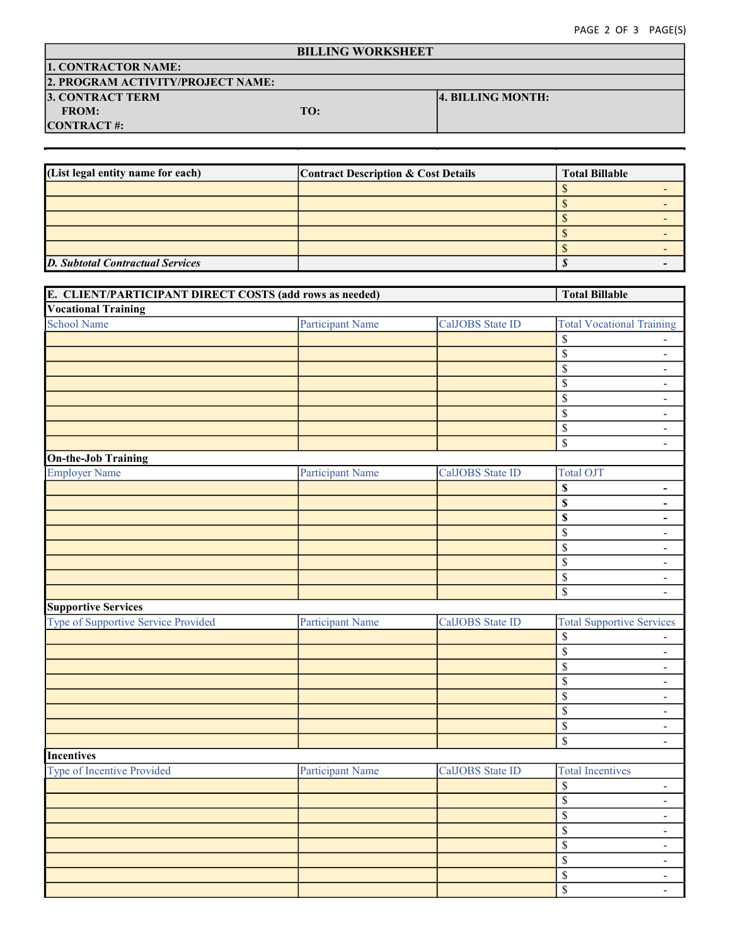# BILLING WORKSHEET

# 1. CONTRACTOR NAME:

|  | 2. PROGRAM ACTIVITY/PROJECT NAME: |  |
|--|-----------------------------------|--|
|  |                                   |  |

# 3. CONTRACT TERM  $\begin{bmatrix} 4. \text{ BILLING MOMTH:} \\ \text{FROM:} \end{bmatrix}$

FROM:

CONTRACT #:

D. CONTRACTUAL SERVICES (List legal entity name for each) Total Billable Contract Description & Cost Details  $\mathbb S$  -  $\qquad \qquad$  - $\mathbb S$  -  $\qquad \qquad$  - $\mathbb S$  -  $\qquad \qquad$  - $\mathbb S$  -  $\qquad \qquad$  - $\mathbb S$  -  $\qquad \qquad$  -D. Subtotal Contractual Services - \$

| E. CLIENT/PARTICIPANT DIRECT COSTS (add rows as needed) |                         |                  | <b>Total Billable</b>                               |  |
|---------------------------------------------------------|-------------------------|------------------|-----------------------------------------------------|--|
| <b>Vocational Training</b>                              |                         |                  |                                                     |  |
| <b>School Name</b>                                      | <b>Participant Name</b> | CalJOBS State ID | <b>Total Vocational Training</b>                    |  |
|                                                         |                         |                  | \$                                                  |  |
|                                                         |                         |                  | $\overline{\$}$<br>$\overline{\phantom{a}}$         |  |
|                                                         |                         |                  | \$<br>$\overline{\phantom{a}}$                      |  |
|                                                         |                         |                  | $\overline{\$}$<br>$\overline{\phantom{a}}$         |  |
|                                                         |                         |                  | $\overline{\mathbb{S}}$<br>$\overline{\phantom{a}}$ |  |
|                                                         |                         |                  | \$<br>$\blacksquare$                                |  |
|                                                         |                         |                  | \$<br>$\blacksquare$                                |  |
|                                                         |                         |                  | \$<br>$\overline{\phantom{a}}$                      |  |
| <b>On-the-Job Training</b>                              |                         |                  |                                                     |  |
| <b>Employer Name</b>                                    | <b>Participant Name</b> | CalJOBS State ID | <b>Total OJT</b>                                    |  |
|                                                         |                         |                  | \$<br>÷,                                            |  |
|                                                         |                         |                  | \$<br>$\frac{1}{2}$                                 |  |
|                                                         |                         |                  | \$<br>$\blacksquare$                                |  |
|                                                         |                         |                  | \$<br>$\overline{\phantom{a}}$                      |  |
|                                                         |                         |                  | \$<br>$\blacksquare$                                |  |
|                                                         |                         |                  | $\overline{\$}$<br>$\blacksquare$                   |  |
|                                                         |                         |                  | \$<br>$\overline{\phantom{a}}$                      |  |
|                                                         |                         |                  | \$<br>$\blacksquare$                                |  |
| <b>Supportive Services</b>                              |                         |                  |                                                     |  |
| Type of Supportive Service Provided                     | <b>Participant Name</b> | CalJOBS State ID | <b>Total Supportive Services</b>                    |  |
|                                                         |                         |                  | \$<br>$\overline{\phantom{a}}$                      |  |
|                                                         |                         |                  | $\overline{\mathbb{S}}$<br>$\overline{\phantom{a}}$ |  |
|                                                         |                         |                  | $\overline{\mathcal{S}}$<br>$\blacksquare$          |  |
|                                                         |                         |                  | \$<br>$\overline{\phantom{a}}$                      |  |
|                                                         |                         |                  | \$<br>$\overline{\phantom{a}}$                      |  |
|                                                         |                         |                  | $\overline{\mathbb{S}}$<br>$\overline{\phantom{a}}$ |  |
|                                                         |                         |                  | $\overline{\$}$<br>$\blacksquare$                   |  |
|                                                         |                         |                  | $\overline{\$}$<br>$\overline{\phantom{a}}$         |  |
| <b>Incentives</b>                                       |                         |                  |                                                     |  |
| Type of Incentive Provided                              | <b>Participant Name</b> | CalJOBS State ID | <b>Total Incentives</b>                             |  |
|                                                         |                         |                  | $\$$<br>$\blacksquare$                              |  |
|                                                         |                         |                  | \$<br>$\overline{\phantom{a}}$                      |  |
|                                                         |                         |                  | $\overline{\mathbb{S}}$<br>$\blacksquare$           |  |
|                                                         |                         |                  | $\overline{\$}$<br>$\frac{1}{2}$                    |  |
|                                                         |                         |                  | \$<br>$\blacksquare$                                |  |
|                                                         |                         |                  | \$<br>$\overline{\phantom{a}}$                      |  |
|                                                         |                         |                  | \$<br>$\blacksquare$                                |  |
|                                                         |                         |                  | $\overline{\$}$<br>$\blacksquare$                   |  |